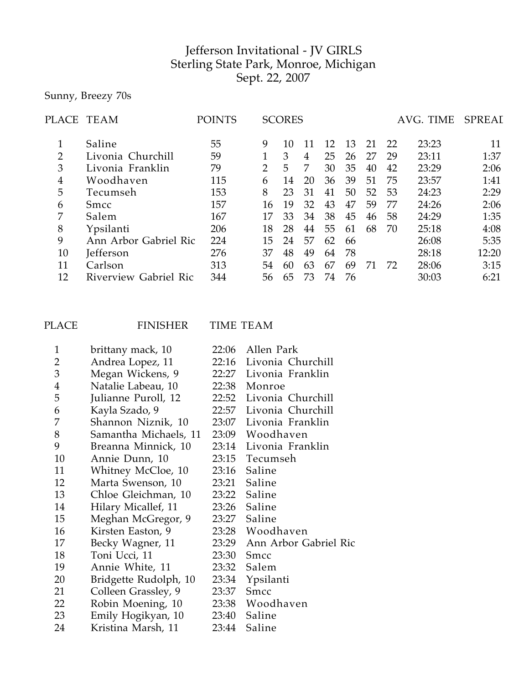## Jefferson Invitational - JV GIRLS Sterling State Park, Monroe, Michigan Sept. 22, 2007

Sunny, Breezy 70s

| PLACE          | <b>TEAM</b>           | POINTS |    | <b>SCORES</b> |    |    |    |    |    | AVG. TIME | <b>SPREAI</b> |
|----------------|-----------------------|--------|----|---------------|----|----|----|----|----|-----------|---------------|
| 1              | Saline                | 55     | 9  | 10            | 11 | 12 | 13 | 21 | 22 | 23:23     | 11            |
| $\overline{2}$ | Livonia Churchill     | 59     |    | 3             | 4  | 25 | 26 | 27 | 29 | 23:11     | 1:37          |
| 3              | Livonia Franklin      | 79     | 2  | 5.            | 7  | 30 | 35 | 40 | 42 | 23:29     | 2:06          |
| 4              | Woodhaven             | 115    | 6  | 14            | 20 | 36 | 39 | 51 | 75 | 23:57     | 1:41          |
| 5              | Tecumseh              | 153    | 8  | 23            | 31 | 41 | 50 | 52 | 53 | 24:23     | 2:29          |
| 6              | <b>Smcc</b>           | 157    | 16 | 19            | 32 | 43 | 47 | 59 | 77 | 24:26     | 2:06          |
| 7              | Salem                 | 167    | 17 | 33            | 34 | 38 | 45 | 46 | 58 | 24:29     | 1:35          |
| 8              | Ypsilanti             | 206    | 18 | 28            | 44 | 55 | 61 | 68 | 70 | 25:18     | 4:08          |
| 9              | Ann Arbor Gabriel Ric | 224    | 15 | 24            | 57 | 62 | 66 |    |    | 26:08     | 5:35          |
| 10             | <b>Jefferson</b>      | 276    | 37 | 48            | 49 | 64 | 78 |    |    | 28:18     | 12:20         |
| 11             | Carlson               | 313    | 54 | 60            | 63 | 67 | 69 | 71 | 72 | 28:06     | 3:15          |
| 12             | Riverview Gabriel Ric | 344    | 56 | 65            | 73 | 74 | 76 |    |    | 30:03     | 6:21          |
|                |                       |        |    |               |    |    |    |    |    |           |               |

PLACE FINISHER TIME TEAM

| 1              | brittany mack, 10     | 22:06 | Allen Park            |
|----------------|-----------------------|-------|-----------------------|
| 2              | Andrea Lopez, 11      | 22:16 | Livonia Churchill     |
| 3              | Megan Wickens, 9      | 22:27 | Livonia Franklin      |
| $\overline{4}$ | Natalie Labeau, 10    | 22:38 | Monroe                |
| 5              | Julianne Puroll, 12   | 22:52 | Livonia Churchill     |
| 6              | Kayla Szado, 9        | 22:57 | Livonia Churchill     |
| 7              | Shannon Niznik, 10    | 23:07 | Livonia Franklin      |
| 8              | Samantha Michaels, 11 | 23:09 | Woodhaven             |
| 9              | Breanna Minnick, 10   | 23:14 | Livonia Franklin      |
| 10             | Annie Dunn, 10        |       | 23:15 Tecumseh        |
| 11             | Whitney McCloe, 10    | 23:16 | Saline                |
| 12             | Marta Swenson, 10     | 23:21 | Saline                |
| 13             | Chloe Gleichman, 10   | 23:22 | Saline                |
| 14             | Hilary Micallef, 11   | 23:26 | Saline                |
| 15             | Meghan McGregor, 9    | 23:27 | Saline                |
| 16             | Kirsten Easton, 9     | 23:28 | Woodhaven             |
| 17             | Becky Wagner, 11      | 23:29 | Ann Arbor Gabriel Ric |
| 18             | Toni Ucci, 11         | 23:30 | Smcc                  |
| 19             | Annie White, 11       | 23:32 | Salem                 |
| 20             | Bridgette Rudolph, 10 | 23:34 | Ypsilanti             |
| 21             | Colleen Grassley, 9   | 23:37 | Smcc                  |
| 22             | Robin Moening, 10     | 23:38 | Woodhaven             |
| 23             | Emily Hogikyan, 10    | 23:40 | Saline                |
| 24             | Kristina Marsh, 11    | 23:44 | Saline                |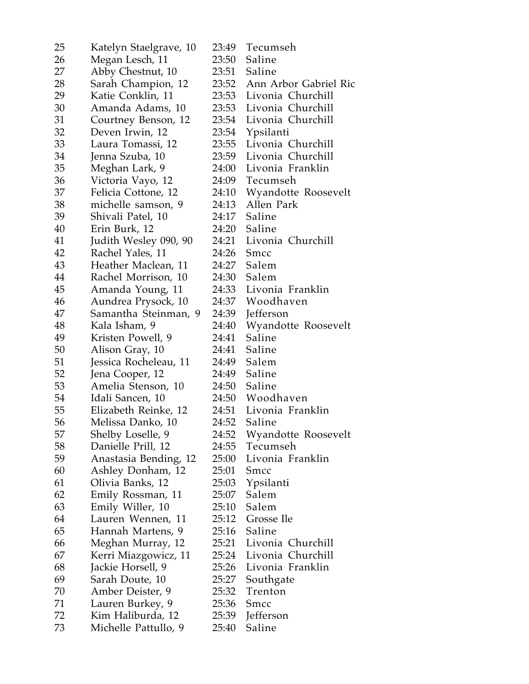| 25 | Katelyn Staelgrave, 10 | 23:49 | Tecumseh                |
|----|------------------------|-------|-------------------------|
| 26 | Megan Lesch, 11        | 23:50 | Saline                  |
| 27 | Abby Chestnut, 10      | 23:51 | Saline                  |
| 28 | Sarah Champion, 12     | 23:52 | Ann Arbor Gabriel Ric   |
| 29 | Katie Conklin, 11      | 23:53 | Livonia Churchill       |
| 30 | Amanda Adams, 10       | 23:53 | Livonia Churchill       |
| 31 | Courtney Benson, 12    | 23:54 | Livonia Churchill       |
| 32 | Deven Irwin, 12        | 23:54 | Ypsilanti               |
| 33 | Laura Tomassi, 12      | 23:55 | Livonia Churchill       |
| 34 | Jenna Szuba, 10        | 23:59 | Livonia Churchill       |
| 35 | Meghan Lark, 9         | 24:00 | Livonia Franklin        |
| 36 | Victoria Vayo, 12      | 24:09 | Tecumseh                |
| 37 | Felicia Cottone, 12    | 24:10 | Wyandotte Roosevelt     |
| 38 | michelle samson, 9     | 24:13 | Allen Park              |
| 39 | Shivali Patel, 10      | 24:17 | Saline                  |
| 40 | Erin Burk, 12          | 24:20 | Saline                  |
| 41 | Judith Wesley 090, 90  | 24:21 | Livonia Churchill       |
| 42 | Rachel Yales, 11       | 24:26 | Smcc                    |
| 43 | Heather Maclean, 11    | 24:27 | Salem                   |
| 44 | Rachel Morrison, 10    | 24:30 | Salem                   |
| 45 | Amanda Young, 11       | 24:33 | Livonia Franklin        |
| 46 | Aundrea Prysock, 10    | 24:37 | Woodhaven               |
| 47 | Samantha Steinman, 9   | 24:39 | Jefferson               |
| 48 | Kala Isham, 9          | 24:40 | Wyandotte Roosevelt     |
| 49 | Kristen Powell, 9      | 24:41 | Saline                  |
| 50 | Alison Gray, 10        | 24:41 | Saline                  |
| 51 | Jessica Rocheleau, 11  | 24:49 | Salem                   |
| 52 | Jena Cooper, 12        | 24:49 | Saline                  |
| 53 | Amelia Stenson, 10     | 24:50 | Saline                  |
| 54 | Idali Sancen, 10       | 24:50 | Woodhaven               |
| 55 | Elizabeth Reinke, 12   | 24:51 | Livonia Franklin        |
| 56 | Melissa Danko, 10      | 24:52 | Saline                  |
| 57 | Shelby Loselle, 9      | 24:52 | Wyandotte Roosevelt     |
| 58 | Danielle Prill, 12     | 24:55 | Tecumseh                |
| 59 | Anastasia Bending, 12  | 25:00 | Livonia Franklin        |
| 60 | Ashley Donham, 12      | 25:01 | Smcc                    |
| 61 | Olivia Banks, 12       |       | 25:03 Ypsilanti         |
| 62 | Emily Rossman, 11      | 25:07 | Salem                   |
| 63 | Emily Willer, 10       | 25:10 | Salem                   |
| 64 | Lauren Wennen, 11      | 25:12 | Grosse Ile              |
| 65 | Hannah Martens, 9      | 25:16 | Saline                  |
| 66 | Meghan Murray, 12      |       | 25:21 Livonia Churchill |
| 67 | Kerri Miazgowicz, 11   |       | 25:24 Livonia Churchill |
| 68 | Jackie Horsell, 9      | 25:26 | Livonia Franklin        |
| 69 | Sarah Doute, 10        | 25:27 | Southgate               |
| 70 | Amber Deister, 9       | 25:32 | Trenton                 |
| 71 | Lauren Burkey, 9       | 25:36 | Smcc                    |
| 72 | Kim Haliburda, 12      | 25:39 | Jefferson               |
| 73 | Michelle Pattullo, 9   | 25:40 | Saline                  |
|    |                        |       |                         |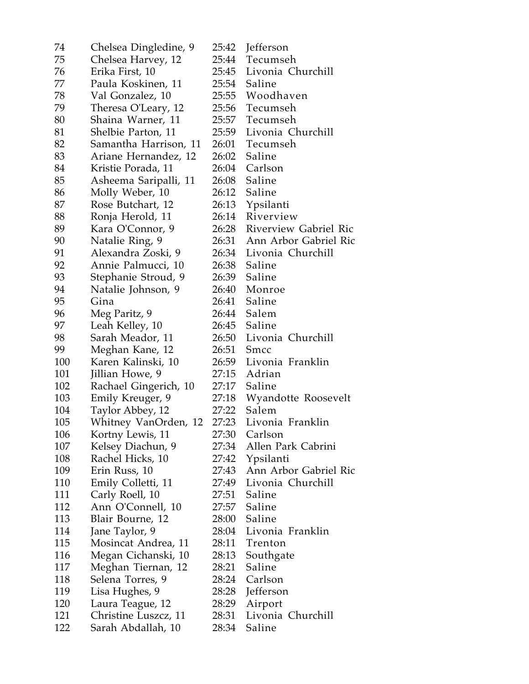| 74  | Chelsea Dingledine, 9 | 25:42 | Jefferson             |
|-----|-----------------------|-------|-----------------------|
| 75  | Chelsea Harvey, 12    | 25:44 | Tecumseh              |
| 76  | Erika First, 10       | 25:45 | Livonia Churchill     |
| 77  | Paula Koskinen, 11    |       | 25:54 Saline          |
| 78  | Val Gonzalez, 10      |       | 25:55 Woodhaven       |
| 79  | Theresa O'Leary, 12   | 25:56 | Tecumseh              |
| 80  | Shaina Warner, 11     | 25:57 | Tecumseh              |
| 81  | Shelbie Parton, 11    | 25:59 | Livonia Churchill     |
| 82  | Samantha Harrison, 11 | 26:01 | Tecumseh              |
| 83  | Ariane Hernandez, 12  |       | 26:02 Saline          |
| 84  | Kristie Porada, 11    | 26:04 | Carlson               |
| 85  | Asheema Saripalli, 11 | 26:08 | Saline                |
| 86  | Molly Weber, 10       | 26:12 | Saline                |
| 87  | Rose Butchart, 12     | 26:13 | Ypsilanti             |
| 88  | Ronja Herold, 11      | 26:14 | Riverview             |
| 89  | Kara O'Connor, 9      | 26:28 | Riverview Gabriel Ric |
| 90  | Natalie Ring, 9       | 26:31 | Ann Arbor Gabriel Ric |
| 91  | Alexandra Zoski, 9    | 26:34 | Livonia Churchill     |
| 92  | Annie Palmucci, 10    | 26:38 | Saline                |
| 93  | Stephanie Stroud, 9   | 26:39 | Saline                |
| 94  | Natalie Johnson, 9    | 26:40 | Monroe                |
| 95  | Gina                  | 26:41 | Saline                |
| 96  | Meg Paritz, 9         | 26:44 | Salem                 |
| 97  | Leah Kelley, 10       | 26:45 | Saline                |
| 98  | Sarah Meador, 11      | 26:50 | Livonia Churchill     |
| 99  | Meghan Kane, 12       | 26:51 | Smcc                  |
| 100 | Karen Kalinski, 10    | 26:59 | Livonia Franklin      |
| 101 | Jillian Howe, 9       | 27:15 | Adrian                |
| 102 | Rachael Gingerich, 10 | 27:17 | Saline                |
| 103 | Emily Kreuger, 9      | 27:18 | Wyandotte Roosevelt   |
| 104 | Taylor Abbey, 12      | 27:22 | Salem                 |
| 105 | Whitney VanOrden, 12  | 27:23 | Livonia Franklin      |
| 106 | Kortny Lewis, 11      | 27:30 | Carlson               |
| 107 | Kelsey Diachun, 9     | 27:34 | Allen Park Cabrini    |
| 108 | Rachel Hicks, 10      | 27:42 | Ypsilanti             |
| 109 | Erin Russ, 10         | 27:43 | Ann Arbor Gabriel Ric |
| 110 | Emily Colletti, 11    | 27:49 | Livonia Churchill     |
| 111 | Carly Roell, 10       | 27:51 | Saline                |
| 112 | Ann O'Connell, 10     | 27:57 | Saline                |
| 113 | Blair Bourne, 12      | 28:00 | Saline                |
| 114 | Jane Taylor, 9        | 28:04 | Livonia Franklin      |
| 115 | Mosincat Andrea, 11   | 28:11 | Trenton               |
| 116 | Megan Cichanski, 10   | 28:13 | Southgate             |
| 117 | Meghan Tiernan, 12    | 28:21 | Saline                |
| 118 | Selena Torres, 9      | 28:24 | Carlson               |
| 119 | Lisa Hughes, 9        | 28:28 | Jefferson             |
| 120 | Laura Teague, 12      | 28:29 | Airport               |
| 121 | Christine Luszcz, 11  | 28:31 | Livonia Churchill     |
| 122 | Sarah Abdallah, 10    | 28:34 | Saline                |
|     |                       |       |                       |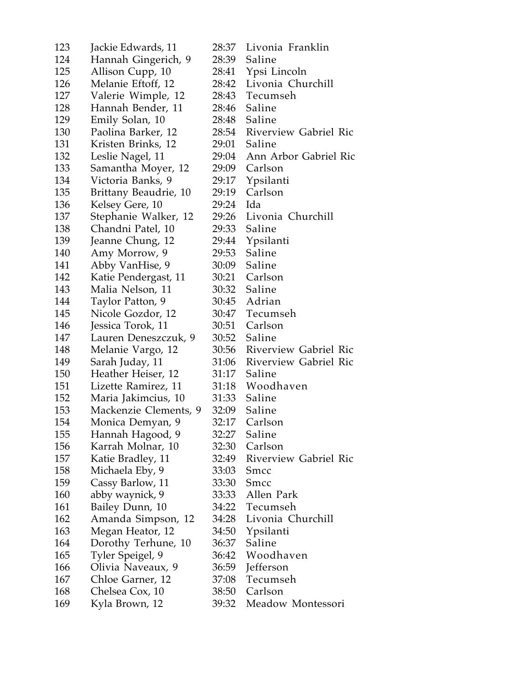| 123 | Jackie Edwards, 11    | 28:37     | Livonia Franklin            |
|-----|-----------------------|-----------|-----------------------------|
| 124 | Hannah Gingerich, 9   | 28:39     | Saline                      |
| 125 | Allison Cupp, 10      | 28:41     | Ypsi Lincoln                |
| 126 | Melanie Eftoff, 12    | 28:42     | Livonia Churchill           |
| 127 | Valerie Wimple, 12    | 28:43     | Tecumseh                    |
| 128 | Hannah Bender, 11     | 28:46     | Saline                      |
| 129 | Emily Solan, 10       | 28:48     | Saline                      |
| 130 | Paolina Barker, 12    |           | 28:54 Riverview Gabriel Ric |
| 131 | Kristen Brinks, 12    |           | 29:01 Saline                |
| 132 | Leslie Nagel, 11      | 29:04     | Ann Arbor Gabriel Ric       |
| 133 | Samantha Moyer, 12    | 29:09     | Carlson                     |
| 134 | Victoria Banks, 9     | 29:17     | Ypsilanti                   |
| 135 | Brittany Beaudrie, 10 | 29:19     | Carlson                     |
| 136 | Kelsey Gere, 10       | 29:24 Ida |                             |
| 137 | Stephanie Walker, 12  |           | 29:26 Livonia Churchill     |
| 138 | Chandni Patel, 10     |           | 29:33 Saline                |
| 139 | Jeanne Chung, 12      | 29:44     | Ypsilanti                   |
| 140 | Amy Morrow, 9         | 29:53     | Saline                      |
| 141 | Abby VanHise, 9       | 30:09     | Saline                      |
| 142 | Katie Pendergast, 11  |           | 30:21 Carlson               |
| 143 | Malia Nelson, 11      |           | 30:32 Saline                |
| 144 | Taylor Patton, 9      |           | 30:45 Adrian                |
| 145 | Nicole Gozdor, 12     | 30:47     | Tecumseh                    |
| 146 | Jessica Torok, 11     | 30:51     | Carlson                     |
| 147 | Lauren Deneszczuk, 9  | 30:52     | Saline                      |
| 148 | Melanie Vargo, 12     | 30:56     | Riverview Gabriel Ric       |
| 149 | Sarah Juday, 11       | 31:06     | Riverview Gabriel Ric       |
| 150 | Heather Heiser, 12    | 31:17     | Saline                      |
| 151 | Lizette Ramirez, 11   | 31:18     | Woodhaven                   |
| 152 | Maria Jakimcius, 10   | 31:33     | Saline                      |
| 153 | Mackenzie Clements, 9 | 32:09     | Saline                      |
| 154 | Monica Demyan, 9      | 32:17     | Carlson                     |
| 155 | Hannah Hagood, 9      | 32:27     | Saline                      |
| 156 | Karrah Molnar, 10     | 32:30     | Carlson                     |
| 157 | Katie Bradley, 11     | 32:49     | Riverview Gabriel Ric       |
| 158 | Michaela Eby, 9       |           | 33:03 Smcc                  |
| 159 | Cassy Barlow, 11      | 33:30     | Smcc                        |
| 160 | abby waynick, 9       | 33:33     | Allen Park                  |
| 161 | Bailey Dunn, 10       | 34:22     | Tecumseh                    |
| 162 | Amanda Simpson, 12    | 34:28     | Livonia Churchill           |
| 163 | Megan Heator, 12      | 34:50     | Ypsilanti                   |
| 164 | Dorothy Terhune, 10   |           | 36:37 Saline                |
| 165 | Tyler Speigel, 9      | 36:42     | Woodhaven                   |
| 166 | Olivia Naveaux, 9     | 36:59     | Jefferson                   |
| 167 | Chloe Garner, 12      | 37:08     | Tecumseh                    |
| 168 | Chelsea Cox, 10       | 38:50     | Carlson                     |
| 169 | Kyla Brown, 12        | 39:32     | Meadow Montessori           |
|     |                       |           |                             |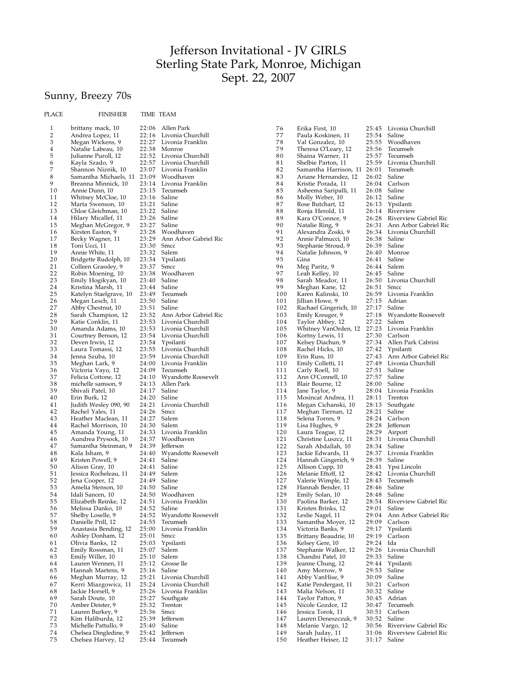## Jefferson Invitational - JV GIRLS Sterling State Park, Monroe, Michigan Sept. 22, 2007

## Sunny, Breezy 70s

| PLACE    | FINISHER                                 |                | TIME TEAM             |
|----------|------------------------------------------|----------------|-----------------------|
| 1        | brittany mack, 10                        | 22:06          | Allen Park            |
| 2        | Andrea Lopez, 11                         | 22:16          | Livonia Churchill     |
| 3        | Megan Wickens, 9                         | 22:27          | Livonia Franklin      |
| 4        | Natalie Labeau, 10                       | 22:38          | Monroe                |
| 5        | Julianne Puroll, 12                      | 22:52          | Livonia Churchill     |
| 6        | Kayla Szado, 9                           | 22:57          | Livonia Churchill     |
| 7        | Shannon Niznik, 10                       | 23:07          | Livonia Franklin      |
| 8        | Samantha Michaels, 11                    | 23:09          | Woodhaven             |
| 9        | Breanna Minnick, 10                      | 23:14          | Livonia Franklin      |
| 10       | Annie Dunn, 10                           | 23:15          | Tecumseh              |
| 11       | Whitney McCloe, 10                       | 23:16          | Saline                |
| 12       | Marta Swenson, 10                        | 23:21          | Saline                |
| 13       | Chloe Gleichman, 10                      | 23:22          | Saline                |
| 14       | Hilary Micallef, 11                      | 23:26          | Saline                |
| 15       | Meghan McGregor, 9                       | 23:27          | Saline                |
| 16       | Kirsten Easton, 9                        | 23:28          | Woodhaven             |
| 17       | Becky Wagner, 11                         | 23:29          | Ann Arbor Gabriel Ric |
| 18       | Toni Ucci, 11                            | 23:30          | Smcc                  |
| 19<br>20 | Annie White, 11                          | 23:32          | Salem                 |
| 21       | Bridgette Rudolph, 10                    | 23:34<br>23:37 | Ypsilanti<br>Smcc     |
| 22       | Colleen Grassley, 9                      | 23:38          | Woodhaven             |
| 23       | Robin Moening, 10                        | 23:40          | Saline                |
| 24       | Emily Hogikyan, 10<br>Kristina Marsh, 11 | 23:44          | Saline                |
| 25       | Katelyn Staelgrave, 10                   | 23:49          | Tecumseh              |
| 26       | Megan Lesch, 11                          | 23:50          | Saline                |
| 27       | Abby Chestnut, 10                        | 23:51          | Saline                |
| 28       | Sarah Champion, 12                       | 23:52          | Ann Arbor Gabriel Ric |
| 29       | Katie Conklin, 11                        | 23:53          | Livonia Churchill     |
| 30       | Amanda Adams, 10                         | 23:53          | Livonia Churchill     |
| 31       | Courtney Benson, 12                      | 23:54          | Livonia Churchill     |
| 32       | Deven Irwin, 12                          | 23:54          | Ypsilanti             |
| 33       | Laura Tomassi, 12                        | 23:55          | Livonia Churchill     |
| 34       | Jenna Szuba, 10                          | 23:59          | Livonia Churchill     |
| 35       | Meghan Lark, 9                           | 24:00          | Livonia Franklin      |
| 36       | Victoria Vayo, 12                        | 24:09          | Tecumseh              |
| 37       | Felicia Cottone, 12                      | 24:10          | Wyandotte Roosevelt   |
| 38       | michelle samson, 9                       | 24:13          | Allen Park            |
| 39       | Shivali Patel, 10                        | 24:17          | Saline                |
| 40       | Erin Burk, 12                            | 24:20          | Saline                |
| 41       | Judith Wesley 090, 90                    | 24:21          | Livonia Churchill     |
| 42       | Rachel Yales, 11                         | 24:26          | Smcc                  |
| 43       | Heather Maclean, 11                      | 24:27          | Salem                 |
| 44       | Rachel Morrison, 10                      | 24:30          | Salem                 |
| 45       | Amanda Young, 11                         | 24:33          | Livonia Franklin      |
| 46       | Aundrea Prysock, 10                      | 24:37          | Woodhaven             |
| 47       | Samantha Steinman, 9                     | 24:39          | Jefferson             |
| 48       | Kala Isham, 9                            | 24:40          | Wyandotte Roosevelt   |
| 49       | Kristen Powell, 9                        | 24:41          | Saline                |
| 50       | Alison Gray, 10                          | 24:41          | Saline                |
| 51       | Jessica Rocheleau, 11                    | 24:49          | Salem                 |
| 52       | Jena Cooper, 12                          | 24:49          | Saline                |
| 53       | Amelia Stenson, 10                       | 24:50          | Saline                |
| 54       | Idali Sancen, 10                         | 24:50          | Woodhaven             |
| 55       | Elizabeth Reinke, 12                     | 24:51          | Livonia Franklin      |
| 56       | Melissa Danko, 10                        | 24:52          | Saline                |
| 57       | Shelby Loselle, 9                        | 24:52          | Wyandotte Roosevelt   |
| 58       | Danielle Prill, 12                       | 24:55          | Tecumseh              |
| 59       | Anastasia Bending, 12                    | 25:00          | Livonia Franklin      |
| 60       | Ashley Donham, 12                        | 25:01          | Smcc                  |
| 61       | Olivia Banks, 12                         | 25:03          | Ypsilanti             |
| 62       | Emily Rossman, 11                        | 25:07          | Salem                 |
| 63       | Emily Willer, 10                         | 25:10          | Salem                 |
| 64       | Lauren Wennen, 11                        | 25:12          | Grosse Ile            |
| 65       | Hannah Martens, 9                        | 25:16          | Saline                |
| 66       | Meghan Murray, 12                        | 25:21          | Livonia Churchill     |
| 67       | Kerri Miazgowicz, 11                     | 25:24          | Livonia Churchill     |
| 68       | Jackie Horsell, 9                        | 25:26          | Livonia Franklin      |
| 69       | Sarah Doute, 10                          | 25:27          | Southgate             |
| 70       | Amber Deister, 9                         | 25:32          | Trenton               |
| 71       | Lauren Burkey, 9                         | 25:36          | Smcc                  |
| 72       | Kim Haliburda, 12                        | 25:39          | Jefferson             |
| 73<br>74 | Michelle Pattullo, 9                     | 25:40<br>25:42 | Saline<br>Jefferson   |
| 75       | Chelsea Dingledine, 9                    | 25:44          | Tecumseh              |
|          | Chelsea Harvey, 12                       |                |                       |

7 6 Erika First, 10 25:45 Livonia Churchill 77 Paula Koskinen, 11 25:54 Saline<br>78 Val Gonzalez, 10 25:55 Woodhaven<br>79 Theresa O'Leary, 12 25:56 Tecumseh Val Gonzalez, 10 25:55 Woodhav<br>Theresa O'Leary, 12 25:56 Tecumseh 79 Theresa O'Leary, 12 25:56 Tecumseh<br>80 Shaina Warner, 11 25:57 Tecumseh Shaina Warner, 11 25:57 Tecumseh<br>Shelbie Parton, 11 25:59 Livonia Churchill 81 Shelbie Parton, 11 25:59 Livonia C<br>82 Samantha Harrison, 11, 26:01 Tecumseb 82 Samantha Harrison, 11<br>83 Ariane Hernandez, 12 83 Ariane Hernandez, 12 26:02 Saline<br>84 Kristie Porada, 11 26:04 Carlson 84 Kristie Porada, 11 26:04 Carlson<br>85 Asheema Saripalli, 11 26:08 Saline 85 Asheema Saripalli, 11 26:08 Saline<br>86 Molly Weber, 10 26:12 Saline 86 Molly Weber, 10 26:12 Saline<br>87 Rose Butchart, 12 26:13 Ypsilanti 87 Rose Butchart, 12 26:13 Ypsilanti<br>88 Ronja Herold, 11 26:14 Riverview 88 Ronja Herold, 11 26:14<br>89 Kara O'Connor, 9 26:28 89 Kara O'Connor, 9 26:28 Riverview Gabriel Ric<br>90 Natalie Ring, 9 26:31 Ann Arbor Gabriel Ric 90 Natalie Ring, 9 26:31 Ann Arbor Gabriel Ric<br>91 Alexandra Zoski. 9 26:34 Livonia Churchill 9 1 Natalie Ring, 9 26:31 Ann A<br>91 Alexandra Zoski, 9 26:34 Livonia 20:34 Annie Palmucci, 10 26:38 Saline 92 Annie Palmucci, 10 26:38 Saline<br>93 Stephanie Stroud, 9 26:39 Saline 93 Stephanie Stroud, 9 26:39 Saline<br>94 Natalie Johnson, 9 26:40 Monroe 94 Natalie Johnson, 9 26:40<br>95 Gina 26:41 95 Gina 26:41 Saline<br>96 Meg Paritz, 9 26:44 Salem 96 Meg Paritz, 9 26:44 Salem<br>97 Leah Kelley, 10 26:45 Saline 97 Leah Kelley, 10 26:45 Saline<br>98 Sarah Meador, 11 26:50 Livonia Churchill 98 Sarah Meador, 11 26:50 Livor<br>99 Meghan Kane, 12 26:51 Smcc 99 Meghan Kane, 12 26:51 Smcc<br>100 Karen Kalinski, 10 26:59 Livonia Franklin 100 Karen Kalinski, 10 26:59 Livonia<br>101 Jillian Howe, 9 27:15 Adrian 101 Jillian Howe,  $9 \over 102$  27:15 Adrian<br>102 Rachael Gingerich, 10 27:17 Saline 102 Rachael Gingerich, 10 27:17<br>103 Emily Kreuger, 9 27:18 103 Emily Kreuger, 9 27:18 Wyandotte Roosevelt<br>104 Taylor Abbey, 12 27:22 Salem 104 Taylor Abbey, 12 27:22 Salem 105 Whitney VanOrden, 12 27:23 Livonia Franklin 106 Kortny Lewis, 11 27:30 Carlson 107 Kelsey Diachun, 9 27:34 Allen Park Cabrini<br>108 Rachel Hicks, 10 27:42 Ypsilanti 108 Rachel Hicks, 10 27:42<br>109 Erin Russ, 10 27:43 Erin Russ, 10 27:43 Ann Arbor Gabriel Ric<br>
Emily Colletti. 11 27:49 Livonia Churchill 110 Emily Colletti, 11 27:49 Livonia Churchill<br>111 Carly Roell, 10 27:51 Saline 111 Carly Roell, 10 27:51 Saline 112 Ann O'Connell, 10 27:57 Saline 113 Blair Bourne, 12 28:00 Saline<br>114 Jane Taylor, 9 28:04 Livoni 114 Jane Taylor, 9 28:04 Livonia Franklin<br>115 Mosincat Andrea, 11 28:11 Trenton 11<br>115 Mosincat Andrea, 11 <mark>28:11</mark><br>Megan Cichanski, 10 28:13 116 Megan Cichanski, 10 28:13 Southgate 117 Meghan Tiernan, 12 28:21 Saline<br>118 Selena Torres. 9 28:24 Carlson 118 Selena Torres, 9 28:24 Carlson<br>119 Lisa Hughes. 9 28:28 Jefferson 119 Lisa Hughes, 9 28:28 Jeffersor<br>120 Laura Teague, 12 28:29 Airport 120 Laura Teague, 12 28:29 Airport 121 Christine Luszcz, 11 28:31 Livoni<br>122 Sarah Abdallah. 10 28:34 Saline 122 Sarah Abdallah, 10 28:34 Saline 123 Jackie Edwards, 11 28:37 Livonia 124 Hannah Gingerich. 9 28:39 Saline 124 Hannah Gingerich, 9 28:39 Saline 125 Allison Cupp, 10 28:41 Ypsi Lincoln 126 Melanie Eftoff, 12 28:42 Livonia C<br>127 Valerie Wimple, 12 28:43 Tecumseh 127 Valerie Wimple, 12 28:43 Tecum<br>128 Hannah Bender, 11 28:46 Saline 128 Hannah Bender, 11 28:46 Saline 129 Emily Solan, 10 28:48<br>130 Paolina Barker, 12 28:54 130 Paolina Barker, 12 28:54 Riverview Gabriel Ric 131 Kristen Brinks, 12 29:01<br>132 Leslie Nagel, 11 29:04 132 Leslie Nagel, 11 29:04 Ann Arbor Gabriel Ric<br>133 Samantha Moyer, 12 29:09 Carlson 133 Samantha Moyer, 12 29:09 Carlson<br>134 Victoria Banks, 9 29:17 Ypsilanti 134 Victoria Banks, 9 29:17 Ypsilant<br>135 Brittany Beaudrie, 10 29:19 Carlson 135 Brittany Beaudrie, 10 29:19 Carl<br>136 Kelsey Gere, 10 29:24 Ida 136 Kelsey Gere, 10 29:24 Ida<br>137 Stephanie Walker, 12 29:26 Livonia Churchill 137 Stephanie Walker, 12 29:26 Livoni<br>138 Chandni Patel, 10 29:33 Saline 138 Chandni Patel, 10 29:33 Saline<br>139 Jeanne Chung, 12 29:44 Ypsilanti 139 Jeanne Chung, 12 29:44 Ypsila<br>140 Amy Morrow, 9 29:53 Saline 140 Amy Morrow, 9 29:53 Saline<br>141 Abby VanHise, 9 30:09 Saline 141 Abby VanHise, 9 30:09 Saline<br>142 Katie Pendergast, 11 30:21 Carlson 142 Katie Pendergast, 11 30:21 Carlson<br>Malia Nelson, 11 30:32 Saline 143 Malia Nelson, 11 30:32 Saline<br>144 Taylor Patton, 9 30:45 Adrian 144 Taylor Patton, 9 30:45 Adrian<br>145 Nicole Gozdor, 12 30:47 Tecumseh 145 Nicole Gozdor, 12 30:47 Tecumse<br>146 Iessica Torok, 11 30:51 Carlson Jessica Torok, 11 147 Lauren Deneszczuk, 9 30:52 Saline Melanie Vargo, 12<br>Sarah Juday, 11 149 Sarah Juday, 11 31:06 Riverview Gabriel Ric Heather Heiser, 12